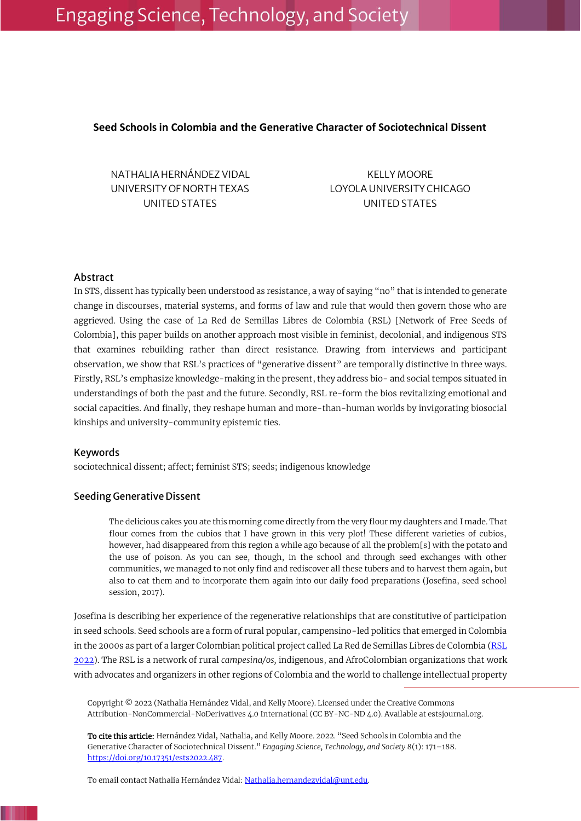# Engaging Science, Technology, and Society

# **Seed Schools in Colombia and the Generative Character of Sociotechnical Dissent**

NATHALIA HERNÁNDEZ VIDAL UNIVERSITY OF NORTH TEXAS UNITED STATES

KELLY MOORE LOYOLA UNIVERSITY CHICAGO UNITED STATES

## Abstract

In STS, dissent has typically been understood as resistance, a way of saying "no" that is intended to generate change in discourses, material systems, and forms of law and rule that would then govern those who are aggrieved. Using the case of La Red de Semillas Libres de Colombia (RSL) [Network of Free Seeds of Colombia], this paper builds on another approach most visible in feminist, decolonial, and indigenous STS that examines rebuilding rather than direct resistance. Drawing from interviews and participant observation, we show that RSL's practices of "generative dissent" are temporally distinctive in three ways. Firstly, RSL's emphasize knowledge-making in the present, they address bio- and social tempos situated in understandings of both the past and the future. Secondly, RSL re-form the bios revitalizing emotional and social capacities. And finally, they reshape human and more-than-human worlds by invigorating biosocial kinships and university-community epistemic ties.

## Keywords

sociotechnical dissent; affect; feminist STS; seeds; indigenous knowledge

# Seeding Generative Dissent

<span id="page-0-0"></span>The delicious cakes you ate this morning come directly from the very flour my daughters and I made. That flour comes from the cubios that I have grown in this very plot! These different varieties of cubios, however, had disappeared from this region a while ago because of all the problem[s] with the potato and the use of poison. As you can see, though, in the school and through seed exchanges with other communities, we managed to not only find and rediscover all these tubers and to harvest them again, but also to eat them and to incorporate them again into our daily food preparations (Josefina, seed school session, 2017).

Josefina is describing her experience of the regenerative relationships that are constitutive of participation in seed schools. Seed schools are a form of rural popular, campensino-led politics that emerged in Colombia in the 2000s as part of a larger Colombian political project called La Red de Semillas Libres de Colombia [\(RSL](#page-15-0) [2022\)](#page-15-0). The RSL is a network of rural *campesina/os,* indigenous, and AfroColombian organizations that work with advocates and organizers in other regions of Colombia and the world to challenge intellectual property

Copyright © 2022 (Nathalia Hernández Vidal, and Kelly Moore). Licensed under the Creative Commons Attribution-NonCommercial-NoDerivatives 4.0 International (CC BY-NC-ND 4.0). Available at estsjournal.org.

To cite this article: Hernández Vidal, Nathalia, and Kelly Moore. 2022. "Seed Schools in Colombia and the Generative Character of Sociotechnical Dissent." *Engaging Science, Technology, and Society* 8(1): 171–188. [https://doi.org/10.17351/ests2022.487.](https://doi.org/10.17351/ests2022.487)

To email contact Nathalia Hernández Vidal[: Nathalia.hernandezvidal@unt.edu.](mailto:Nathalia.hernandezvidal@unt.edu)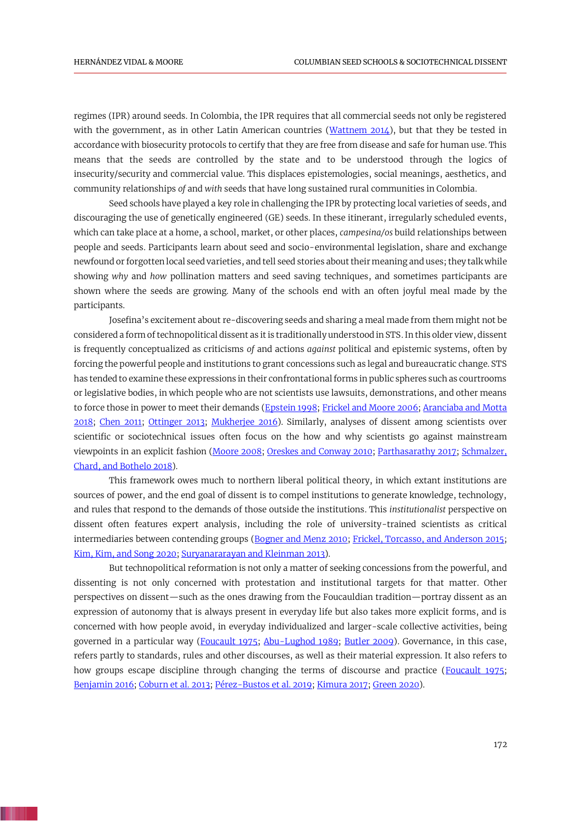<span id="page-1-22"></span>regimes (IPR) around seeds. In Colombia, the IPR requires that all commercial seeds not only be registered with the government, as in other Latin American countries [\(Wattnem 2014\)](#page-16-0), but that they be tested in accordance with biosecurity protocols to certify that they are free from disease and safe for human use. This means that the seeds are controlled by the state and to be understood through the logics of insecurity/security and commercial value. This displaces epistemologies, social meanings, aesthetics, and community relationships *of* and *with* seeds that have long sustained rural communities in Colombia.

Seed schools have played a key role in challenging the IPR by protecting local varieties of seeds, and discouraging the use of genetically engineered (GE) seeds. In these itinerant, irregularly scheduled events, which can take place at a home, a school, market, or other places, *campesina/os* build relationships between people and seeds. Participants learn about seed and socio-environmental legislation, share and exchange newfound or forgotten local seed varieties, and tell seed stories about their meaning and uses; they talk while showing *why* and *how* pollination matters and seed saving techniques, and sometimes participants are shown where the seeds are growing. Many of the schools end with an often joyful meal made by the participants.

Josefina's excitement about re-discovering seeds and sharing a meal made from them might not be considered a form of technopolitical dissent as it is traditionally understood in STS. In this older view, dissent is frequently conceptualized as criticisms *of* and actions *against* political and epistemic systems, often by forcing the powerful people and institutions to grant concessions such as legal and bureaucratic change. STS has tended to examine these expressions in their confrontational forms in public spheres such as courtrooms or legislative bodies, in which people who are not scientists use lawsuits, demonstrations, and other means to force those in power to meet their demands [\(Epstein 1998;](#page-13-0) [Frickel and Moore 2006;](#page-13-1) [Aranciaba and Motta](#page-11-0)  [2018;](#page-11-0) [Chen 2011;](#page-12-0) [Ottinger 2013;](#page-15-1) [Mukherjee 2016\)](#page-15-2). Similarly, analyses of dissent among scientists over scientific or sociotechnical issues often focus on the how and why scientists go against mainstream viewpoints in an explicit fashion [\(Moore 2008;](#page-15-3) [Oreskes and Conway 2010;](#page-15-4) [Parthasarathy 2017;](#page-15-5) [Schmalzer,](#page-15-6)  Chard, [and Bothelo 2018\)](#page-15-6).

<span id="page-1-20"></span><span id="page-1-18"></span><span id="page-1-17"></span><span id="page-1-16"></span><span id="page-1-15"></span><span id="page-1-14"></span><span id="page-1-9"></span><span id="page-1-7"></span><span id="page-1-5"></span><span id="page-1-1"></span>This framework owes much to northern liberal political theory, in which extant institutions are sources of power, and the end goal of dissent is to compel institutions to generate knowledge, technology, and rules that respond to the demands of those outside the institutions. This *institutionalist* perspective on dissent often features expert analysis, including the role of university-trained scientists as critical intermediaries between contending groups [\(Bogner and Menz 2010;](#page-12-1) [Frickel, Torcasso, and Anderson 2015;](#page-13-2) Kim, Kim, [and Song 2020;](#page-14-0) [Suryanararayan and Kleinman 2013\)](#page-16-1).

<span id="page-1-21"></span><span id="page-1-19"></span><span id="page-1-13"></span><span id="page-1-12"></span><span id="page-1-11"></span><span id="page-1-10"></span><span id="page-1-8"></span><span id="page-1-6"></span><span id="page-1-4"></span><span id="page-1-3"></span><span id="page-1-2"></span><span id="page-1-0"></span>But technopolitical reformation is not only a matter of seeking concessions from the powerful, and dissenting is not only concerned with protestation and institutional targets for that matter. Other perspectives on dissent—such as the ones drawing from the Foucauldian tradition—portray dissent as an expression of autonomy that is always present in everyday life but also takes more explicit forms, and is concerned with how people avoid, in everyday individualized and larger-scale collective activities, being governed in a particular way [\(Foucault 1975;](#page-13-3) [Abu-Lughod 1989;](#page-11-1) [Butler 2009\)](#page-12-2). Governance, in this case, refers partly to standards, rules and other discourses, as well as their material expression. It also refers to how groups escape discipline through changing the terms of discourse and practice [\(Foucault 1975;](#page-13-3) [Benjamin 2016;](#page-12-3) [Coburn et al. 2013;](#page-12-4) [Pérez-Bustos et al. 2019;](#page-15-7) [Kimura 2017;](#page-14-1) [Green 2020\)](#page-13-4).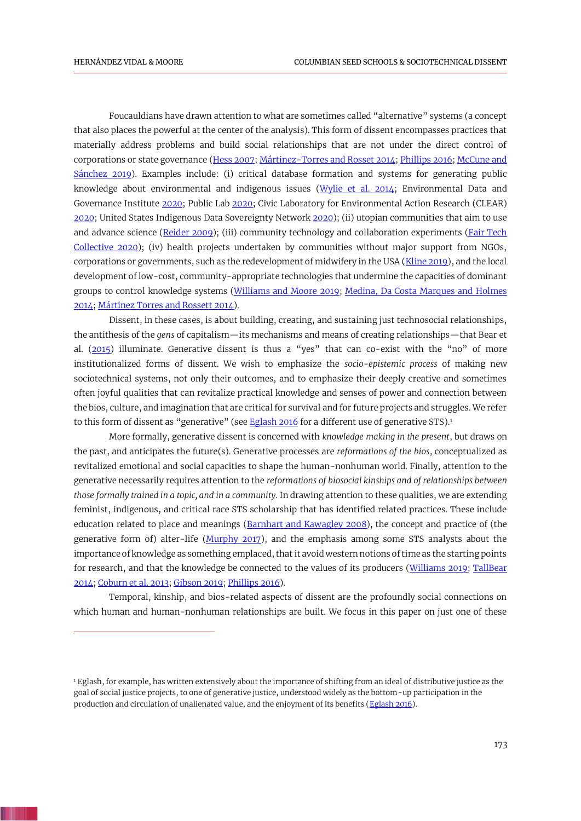<span id="page-2-20"></span><span id="page-2-17"></span><span id="page-2-14"></span><span id="page-2-13"></span><span id="page-2-10"></span><span id="page-2-9"></span><span id="page-2-7"></span><span id="page-2-4"></span><span id="page-2-2"></span>Foucauldians have drawn attention to what are sometimes called "alternative" systems (a concept that also places the powerful at the center of the analysis). This form of dissent encompasses practices that materially address problems and build social relationships that are not under the direct control of corporations or state governance [\(Hess 2007;](#page-14-2) [Mártinez-Torres and Rosset 2014;](#page-14-3) [Phillips 2016;](#page-15-8) [McCune and](#page-14-4)  [Sánchez 2019\)](#page-14-4). Examples include: (i) critical database formation and systems for generating public knowledge about environmental and indigenous issues [\(Wylie et al. 2014;](#page-17-0) Environmental Data and Governance Institute [2020;](#page-13-5) Public Lab [2020;](#page-15-9) Civic Laboratory for Environmental Action Research (CLEAR) [2020;](#page-12-5) United States Indigenous Data Sovereignty Networ[k 2020\)](#page-16-2); (ii) utopian communities that aim to use and advance science [\(Reider 2009\)](#page-15-10); (iii) community technology and collaboration experiments [\(Fair Tech](#page-13-6)  [Collective 2020\)](#page-13-6); (iv) health projects undertaken by communities without major support from NGOs, corporations or governments, such as the redevelopment of midwifery in the USA [\(Kline 2019\)](#page-14-5), and the local development of low-cost, community-appropriate technologies that undermine the capacities of dominant groups to control knowledge systems [\(Williams and Moore 2019;](#page-16-3) [Medina, Da Costa Marques and Holmes](#page-14-6)  [2014;](#page-14-6) [Mártinez Torres and Rossett 2014\)](#page-14-3).

<span id="page-2-19"></span><span id="page-2-15"></span><span id="page-2-11"></span><span id="page-2-8"></span><span id="page-2-5"></span><span id="page-2-1"></span>Dissent, in these cases, is about building, creating, and sustaining just technosocial relationships, the antithesis of the *gens* of capitalism—its mechanisms and means of creating relationships—that Bear et al. [\(2015](#page-11-2)) illuminate. Generative dissent is thus a "yes" that can co-exist with the "no" of more institutionalized forms of dissent. We wish to emphasize the *socio-epistemic process* of making new sociotechnical systems, not only their outcomes, and to emphasize their deeply creative and sometimes often joyful qualities that can revitalize practical knowledge and senses of power and connection between the bios, culture, and imagination that are critical for survival and for future projects and struggles. We refer to this form of dissent as "generative" (see [Eglash 2016](#page-12-6) for a different use of generative STS).<sup>1</sup>

<span id="page-2-3"></span>More formally, generative dissent is concerned with *knowledge making in the present*, but draws on the past, and anticipates the future(s). Generative processes are *reformations of the bios*, conceptualized as revitalized emotional and social capacities to shape the human-nonhuman world. Finally, attention to the generative necessarily requires attention to the *reformations of biosocial kinships and of relationships between those formally trained in a topic, and in a community*. In drawing attention to these qualities, we are extending feminist, indigenous, and critical race STS scholarship that has identified related practices. These include education related to place and meanings [\(Barnhart and Kawagley 2008\)](#page-11-3), the concept and practice of (the generative form of) alter-life [\(Murphy 2017\)](#page-15-11), and the emphasis among some STS analysts about the importance of knowledge as something emplaced, that it avoid western notions of time as the starting points for research, and that the knowledge be connected to the values of its producers [\(Williams 2019;](#page-16-4) TallBear [2014;](#page-16-5) [Coburn et al. 2013;](#page-12-4) [Gibson 2019;](#page-13-7) [Phillips 2016\)](#page-15-8).

<span id="page-2-18"></span><span id="page-2-16"></span><span id="page-2-12"></span><span id="page-2-6"></span><span id="page-2-0"></span>Temporal, kinship, and bios-related aspects of dissent are the profoundly social connections on which human and human-nonhuman relationships are built. We focus in this paper on just one of these

<sup>&</sup>lt;sup>1</sup> Eglash, for example, has written extensively about the importance of shifting from an ideal of distributive justice as the goal of social justice projects, to one of generative justice, understood widely as the bottom-up participation in the production and circulation of unalienated value, and the enjoyment of its benefits [\(Eglash 2016\)](#page-12-6).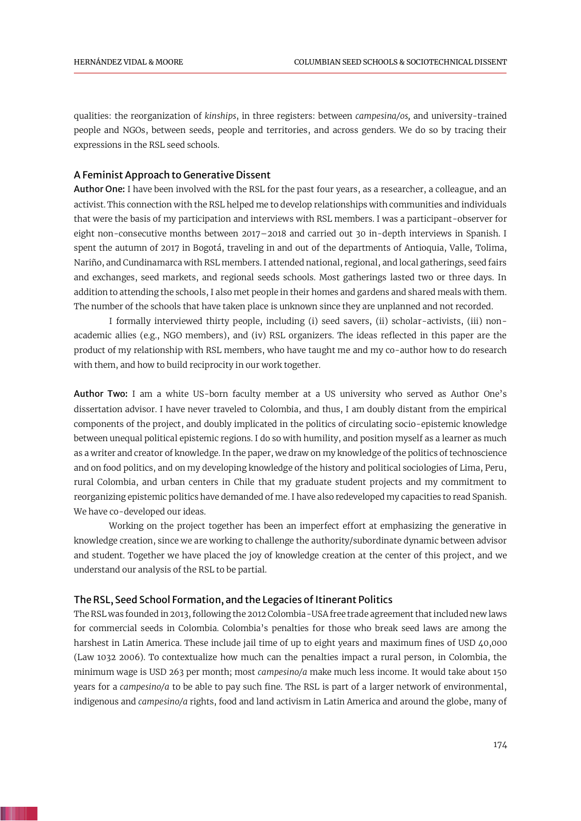qualities: the reorganization of *kinships*, in three registers: between *campesina/os,* and university-trained people and NGOs, between seeds, people and territories, and across genders. We do so by tracing their expressions in the RSL seed schools.

## A Feminist Approach to Generative Dissent

Author One: I have been involved with the RSL for the past four years, as a researcher, a colleague, and an activist. This connection with the RSL helped me to develop relationships with communities and individuals that were the basis of my participation and interviews with RSL members. I was a participant-observer for eight non-consecutive months between 2017–2018 and carried out 30 in-depth interviews in Spanish. I spent the autumn of 2017 in Bogotá, traveling in and out of the departments of Antioquia, Valle, Tolima, Nariño, and Cundinamarca with RSL members. I attended national, regional, and local gatherings, seed fairs and exchanges, seed markets, and regional seeds schools. Most gatherings lasted two or three days. In addition to attending the schools, I also met people in their homes and gardens and shared meals with them. The number of the schools that have taken place is unknown since they are unplanned and not recorded.

I formally interviewed thirty people, including (i) seed savers, (ii) scholar-activists, (iii) nonacademic allies (e.g., NGO members), and (iv) RSL organizers. The ideas reflected in this paper are the product of my relationship with RSL members, who have taught me and my co-author how to do research with them, and how to build reciprocity in our work together.

Author Two: I am a white US-born faculty member at a US university who served as Author One's dissertation advisor. I have never traveled to Colombia, and thus, I am doubly distant from the empirical components of the project, and doubly implicated in the politics of circulating socio-epistemic knowledge between unequal political epistemic regions. I do so with humility, and position myself as a learner as much as a writer and creator of knowledge. In the paper, we draw on my knowledge of the politics of technoscience and on food politics, and on my developing knowledge of the history and political sociologies of Lima, Peru, rural Colombia, and urban centers in Chile that my graduate student projects and my commitment to reorganizing epistemic politics have demanded of me. I have also redeveloped my capacities to read Spanish. We have co-developed our ideas.

Working on the project together has been an imperfect effort at emphasizing the generative in knowledge creation, since we are working to challenge the authority/subordinate dynamic between advisor and student. Together we have placed the joy of knowledge creation at the center of this project, and we understand our analysis of the RSL to be partial.

#### The RSL, Seed School Formation, and the Legacies of Itinerant Politics

The RSL was founded in 2013, following the 2012 Colombia-USA free trade agreement that included new laws for commercial seeds in Colombia. Colombia's penalties for those who break seed laws are among the harshest in Latin America. These include jail time of up to eight years and maximum fines of USD 40,000 (Law 1032 2006). To contextualize how much can the penalties impact a rural person, in Colombia, the minimum wage is USD 263 per month; most *campesino/a* make much less income. It would take about 150 years for a *campesino/a* to be able to pay such fine. The RSL is part of a larger network of environmental, indigenous and *campesino/a* rights, food and land activism in Latin America and around the globe, many of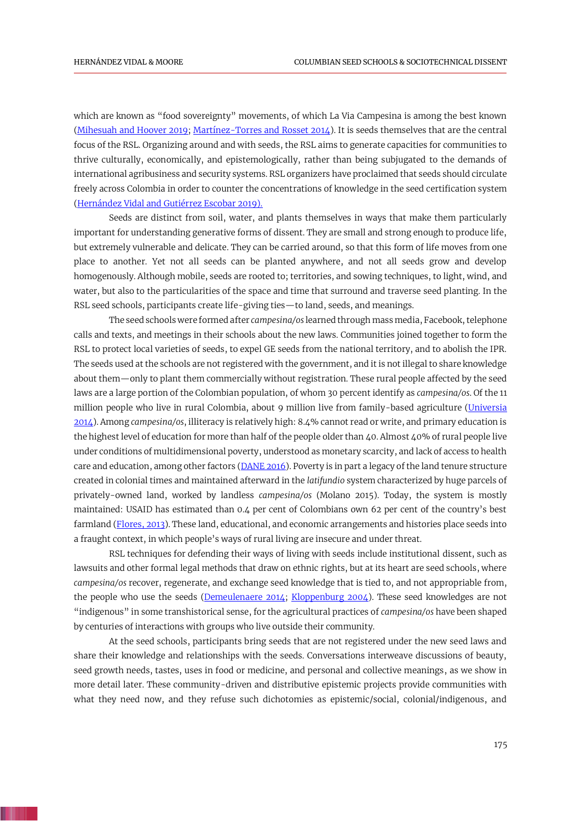<span id="page-4-5"></span>which are known as "food sovereignty" movements, of which La Via Campesina is among the best known [\(Mihesuah and Hoover 2019;](#page-14-7) [Martínez-Torres and Rosset 2014\)](#page-14-3). It is seeds themselves that are the central focus of the RSL. Organizing around and with seeds, the RSL aims to generate capacities for communities to thrive culturally, economically, and epistemologically, rather than being subjugated to the demands of international agribusiness and security systems. RSL organizers have proclaimed that seeds should circulate freely across Colombia in order to counter the concentrations of knowledge in the seed certification system [\(Hernández Vidal and Gutiérrez Escobar 2019\).](#page-14-8)

<span id="page-4-3"></span>Seeds are distinct from soil, water, and plants themselves in ways that make them particularly important for understanding generative forms of dissent. They are small and strong enough to produce life, but extremely vulnerable and delicate. They can be carried around, so that this form of life moves from one place to another. Yet not all seeds can be planted anywhere, and not all seeds grow and develop homogenously. Although mobile, seeds are rooted to; territories, and sowing techniques, to light, wind, and water, but also to the particularities of the space and time that surround and traverse seed planting. In the RSL seed schools, participants create life-giving ties—to land, seeds, and meanings.

<span id="page-4-7"></span>The seed schools were formed after *campesina/os* learned through mass media, Facebook, telephone calls and texts, and meetings in their schools about the new laws. Communities joined together to form the RSL to protect local varieties of seeds, to expel GE seeds from the national territory, and to abolish the IPR. The seeds used at the schools are not registered with the government, and it is not illegal to share knowledge about them—only to plant them commercially without registration. These rural people affected by the seed laws are a large portion of the Colombian population, of whom 30 percent identify as *campesina/os*. Of the 11 million people who live in rural Colombia, about 9 million live from family-based agriculture [\(Universia](#page-16-6)  [2014\)](#page-16-6). Among *campesina/os*, illiteracy is relatively high: 8.4% cannot read or write, and primary education is the highest level of education for more than half of the people older than 40. Almost 40% of rural people live under conditions of multidimensional poverty, understood as monetary scarcity, and lack of access to health care and education, among other factors ( $\overline{\text{DANE 2016}}$ ). Poverty is in part a legacy of the land tenure structure created in colonial times and maintained afterward in the *latifundio* system characterized by huge parcels of privately-owned land, worked by landless *campesina/os* (Molano 2015). Today, the system is mostly maintained: USAID has estimated than 0.4 per cent of Colombians own 62 per cent of the country's best farmland [\(Flores, 2013\)](#page-13-8). These land, educational, and economic arrangements and histories place seeds into a fraught context, in which people's ways of rural living are insecure and under threat.

<span id="page-4-6"></span><span id="page-4-4"></span><span id="page-4-2"></span><span id="page-4-1"></span><span id="page-4-0"></span>RSL techniques for defending their ways of living with seeds include institutional dissent, such as lawsuits and other formal legal methods that draw on ethnic rights, but at its heart are seed schools, where *campesina/os* recover, regenerate, and exchange seed knowledge that is tied to, and not appropriable from, the people who use the seeds [\(Demeulenaere 2014;](#page-12-8) [Kloppenburg 2004\)](#page-14-9). These seed knowledges are not "indigenous" in some transhistorical sense, for the agricultural practices of *campesina/os* have been shaped by centuries of interactions with groups who live outside their community.

At the seed schools, participants bring seeds that are not registered under the new seed laws and share their knowledge and relationships with the seeds. Conversations interweave discussions of beauty, seed growth needs, tastes, uses in food or medicine, and personal and collective meanings, as we show in more detail later. These community-driven and distributive epistemic projects provide communities with what they need now, and they refuse such dichotomies as epistemic/social, colonial/indigenous, and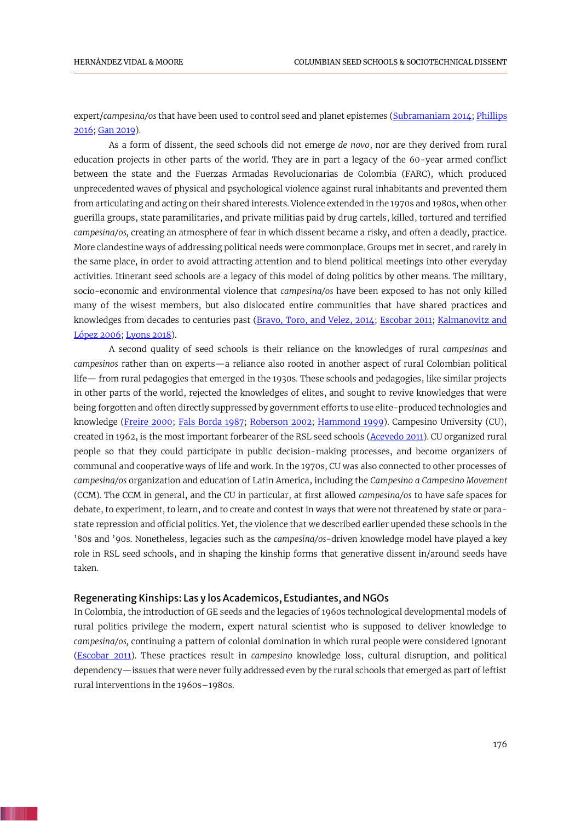<span id="page-5-10"></span><span id="page-5-5"></span>expert/*campesina/os* that have been used to control seed and planet epistemes [\(Subramaniam 2014;](#page-16-7) Phillips [2016;](#page-15-8) [Gan 2019\)](#page-13-9).

As a form of dissent, the seed schools did not emerge *de novo*, nor are they derived from rural education projects in other parts of the world. They are in part a legacy of the 60-year armed conflict between the state and the Fuerzas Armadas Revolucionarias de Colombia (FARC), which produced unprecedented waves of physical and psychological violence against rural inhabitants and prevented them from articulating and acting on their shared interests. Violence extended in the 1970s and 1980s, when other guerilla groups, state paramilitaries, and private militias paid by drug cartels, killed, tortured and terrified *campesina/os,* creating an atmosphere of fear in which dissent became a risky, and often a deadly, practice. More clandestine ways of addressing political needs were commonplace. Groups met in secret, and rarely in the same place, in order to avoid attracting attention and to blend political meetings into other everyday activities. Itinerant seed schools are a legacy of this model of doing politics by other means. The military, socio-economic and environmental violence that *campesina/os* have been exposed to has not only killed many of the wisest members, but also dislocated entire communities that have shared practices and knowledges from decades to centuries past (Bravo, Toro, [and Velez, 2014;](#page-12-9) [Escobar 2011;](#page-13-10) [Kalmanovitz and](#page-14-10)  [López 2006;](#page-14-10) [Lyons 2018\)](#page-14-11).

<span id="page-5-9"></span><span id="page-5-8"></span><span id="page-5-7"></span><span id="page-5-6"></span><span id="page-5-4"></span><span id="page-5-3"></span><span id="page-5-2"></span><span id="page-5-1"></span><span id="page-5-0"></span>A second quality of seed schools is their reliance on the knowledges of rural *campesinas* and *campesinos* rather than on experts—a reliance also rooted in another aspect of rural Colombian political life— from rural pedagogies that emerged in the 1930s. These schools and pedagogies, like similar projects in other parts of the world, rejected the knowledges of elites, and sought to revive knowledges that were being forgotten and often directly suppressed by government efforts to use elite-produced technologies and knowledge [\(Freire 2000;](#page-13-11) [Fals Borda 1987;](#page-13-12) [Roberson 2002;](#page-15-12) [Hammond 1999\)](#page-13-13). Campesino University (CU), created in 1962, is the most important forbearer of the RSL seed schools [\(Acevedo 2011\)](#page-11-4). CU organized rural people so that they could participate in public decision-making processes, and become organizers of communal and cooperative ways of life and work. In the 1970s, CU was also connected to other processes of *campesina/os* organization and education of Latin America, including the *Campesino a Campesino Movement* (CCM). The CCM in general, and the CU in particular, at first allowed *campesina/os* to have safe spaces for debate, to experiment, to learn, and to create and contest in ways that were not threatened by state or parastate repression and official politics. Yet, the violence that we described earlier upended these schools in the '80s and '90s. Nonetheless, legacies such as the *campesina/os*-driven knowledge model have played a key role in RSL seed schools, and in shaping the kinship forms that generative dissent in/around seeds have taken.

#### Regenerating Kinships: Las y los Academicos, Estudiantes, and NGOs

In Colombia, the introduction of GE seeds and the legacies of 1960s technological developmental models of rural politics privilege the modern, expert natural scientist who is supposed to deliver knowledge to *campesina/os,* continuing a pattern of colonial domination in which rural people were considered ignorant [\(Escobar 2011\)](#page-13-10). These practices result in *campesino* knowledge loss, cultural disruption, and political dependency—issues that were never fully addressed even by the rural schools that emerged as part of leftist rural interventions in the 1960s–1980s.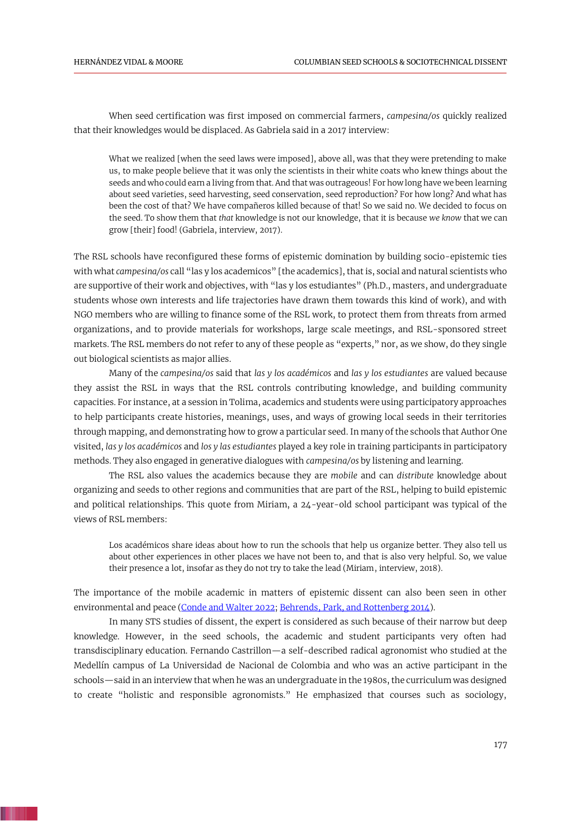When seed certification was first imposed on commercial farmers, *campesina/os* quickly realized that their knowledges would be displaced. As Gabriela said in a 2017 interview:

What we realized [when the seed laws were imposed], above all, was that they were pretending to make us, to make people believe that it was only the scientists in their white coats who knew things about the seeds and who could earn a living from that. And that was outrageous! For how long have we been learning about seed varieties, seed harvesting, seed conservation, seed reproduction? For how long? And what has been the cost of that? We have compañeros killed because of that! So we said no. We decided to focus on the seed. To show them that *that* knowledge is not our knowledge, that it is because *we know* that we can grow [their] food! (Gabriela, interview, 2017).

The RSL schools have reconfigured these forms of epistemic domination by building socio-epistemic ties with what *campesina/os* call "las y los academicos" [the academics], that is, social and natural scientists who are supportive of their work and objectives, with "las y los estudiantes" (Ph.D., masters, and undergraduate students whose own interests and life trajectories have drawn them towards this kind of work), and with NGO members who are willing to finance some of the RSL work, to protect them from threats from armed organizations, and to provide materials for workshops, large scale meetings, and RSL-sponsored street markets. The RSL members do not refer to any of these people as "experts," nor, as we show, do they single out biological scientists as major allies.

Many of the *campesina/os* said that *las y los académicos* and *las y los estudiantes* are valued because they assist the RSL in ways that the RSL controls contributing knowledge, and building community capacities. For instance, at a session in Tolima, academics and students were using participatory approaches to help participants create histories, meanings, uses, and ways of growing local seeds in their territories through mapping, and demonstrating how to grow a particular seed. In many of the schools that Author One visited, *las y los académicos* and *los y las estudiantes* played a key role in training participants in participatory methods. They also engaged in generative dialogues with *campesina/os* by listening and learning.

The RSL also values the academics because they are *mobile* and can *distribute* knowledge about organizing and seeds to other regions and communities that are part of the RSL, helping to build epistemic and political relationships. This quote from Miriam, a 24-year-old school participant was typical of the views of RSL members:

<span id="page-6-1"></span><span id="page-6-0"></span>Los académicos share ideas about how to run the schools that help us organize better. They also tell us about other experiences in other places we have not been to, and that is also very helpful. So, we value their presence a lot, insofar as they do not try to take the lead (Miriam, interview, 2018).

The importance of the mobile academic in matters of epistemic dissent can also been seen in other environmental and peace [\(Conde and Walter 2022;](#page-12-10) Behrends, Park, [and Rottenberg 2014\)](#page-12-11).

In many STS studies of dissent, the expert is considered as such because of their narrow but deep knowledge. However, in the seed schools, the academic and student participants very often had transdisciplinary education. Fernando Castrillon—a self-described radical agronomist who studied at the Medellín campus of La Universidad de Nacional de Colombia and who was an active participant in the schools—said in an interview that when he was an undergraduate in the 1980s, the curriculum was designed to create "holistic and responsible agronomists." He emphasized that courses such as sociology,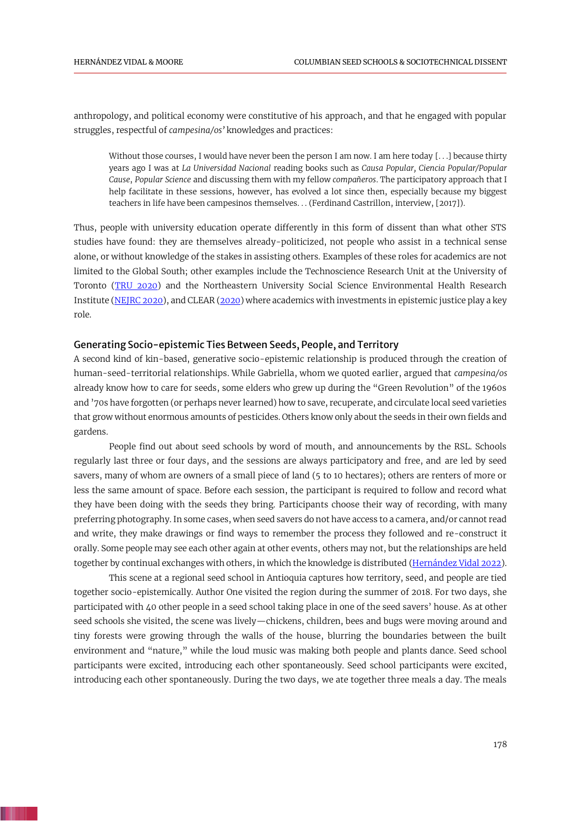anthropology, and political economy were constitutive of his approach, and that he engaged with popular struggles, respectful of *campesina/os'* knowledges and practices:

Without those courses, I would have never been the person I am now. I am here today [...] because thirty years ago I was at *La Universidad Nacional* reading books such as *Causa Popular, Ciencia Popular/Popular Cause*, *Popular Science* and discussing them with my fellow *compañeros*. The participatory approach that I help facilitate in these sessions, however, has evolved a lot since then, especially because my biggest teachers in life have been campesinos themselves. . . (Ferdinand Castrillon, interview, [2017]).

<span id="page-7-2"></span>Thus, people with university education operate differently in this form of dissent than what other STS studies have found: they are themselves already-politicized, not people who assist in a technical sense alone, or without knowledge of the stakes in assisting others. Examples of these roles for academics are not limited to the Global South; other examples include the Technoscience Research Unit at the University of Toronto (TRU [2020\)](#page-16-8) and the Northeastern University Social Science Environmental Health Research Institute [\(NEJRC 2020\)](#page-15-13), and CLEAR [\(2020\)](#page-12-5) where academics with investments in epistemic justice play a key role.

#### <span id="page-7-1"></span>Generating Socio-epistemic Ties Between Seeds, People, and Territory

A second kind of kin-based, generative socio-epistemic relationship is produced through the creation of human-seed-territorial relationships. While Gabriella, whom we quoted earlier, argued that *campesina/os* already know how to care for seeds, some elders who grew up during the "Green Revolution" of the 1960s and '70s have forgotten (or perhaps never learned) how to save, recuperate, and circulate local seed varieties that grow without enormous amounts of pesticides. Others know only about the seeds in their own fields and gardens.

People find out about seed schools by word of mouth, and announcements by the RSL. Schools regularly last three or four days, and the sessions are always participatory and free, and are led by seed savers, many of whom are owners of a small piece of land (5 to 10 hectares); others are renters of more or less the same amount of space. Before each session, the participant is required to follow and record what they have been doing with the seeds they bring. Participants choose their way of recording, with many preferring photography. In some cases, when seed savers do not have access to a camera, and/or cannot read and write, they make drawings or find ways to remember the process they followed and re-construct it orally. Some people may see each other again at other events, others may not, but the relationships are held together by continual exchanges with others, in which the knowledge is distributed [\(Hernández Vidal 2022\)](#page-13-14).

<span id="page-7-0"></span>This scene at a regional seed school in Antioquia captures how territory, seed, and people are tied together socio-epistemically. Author One visited the region during the summer of 2018. For two days, she participated with 40 other people in a seed school taking place in one of the seed savers' house. As at other seed schools she visited, the scene was lively—chickens, children, bees and bugs were moving around and tiny forests were growing through the walls of the house, blurring the boundaries between the built environment and "nature," while the loud music was making both people and plants dance. Seed school participants were excited, introducing each other spontaneously. Seed school participants were excited, introducing each other spontaneously. During the two days, we ate together three meals a day. The meals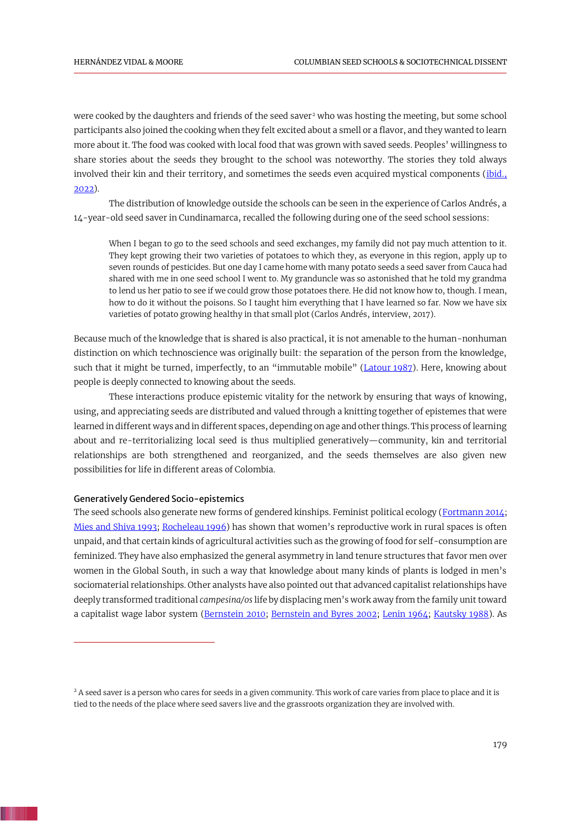were cooked by the daughters and friends of the seed saver<sup>2</sup> who was hosting the meeting, but some school participants also joined the cooking when they felt excited about a smell or a flavor, and they wanted to learn more about it. The food was cooked with local food that was grown with saved seeds. Peoples' willingness to share stories about the seeds they brought to the school was noteworthy. The stories they told always involved their kin and their territory, and sometimes the seeds even acquired mystical components (*ibid.*, [2022\)](#page-13-14).

The distribution of knowledge outside the schools can be seen in the experience of Carlos Andrés, a 14-year-old seed saver in Cundinamarca, recalled the following during one of the seed school sessions:

<span id="page-8-4"></span>When I began to go to the seed schools and seed exchanges, my family did not pay much attention to it. They kept growing their two varieties of potatoes to which they, as everyone in this region, apply up to seven rounds of pesticides. But one day I came home with many potato seeds a seed saver from Cauca had shared with me in one seed school I went to. My granduncle was so astonished that he told my grandma to lend us her patio to see if we could grow those potatoes there. He did not know how to, though. I mean, how to do it without the poisons. So I taught him everything that I have learned so far. Now we have six varieties of potato growing healthy in that small plot (Carlos Andrés, interview, 2017).

Because much of the knowledge that is shared is also practical, it is not amenable to the human-nonhuman distinction on which technoscience was originally built: the separation of the person from the knowledge, such that it might be turned, imperfectly, to an "immutable mobile" ([Latour 1987\)](#page-14-12). Here, knowing about people is deeply connected to knowing about the seeds.

These interactions produce epistemic vitality for the network by ensuring that ways of knowing, using, and appreciating seeds are distributed and valued through a knitting together of epistemes that were learned in different ways and in different spaces, depending on age and other things. This process of learning about and re-territorializing local seed is thus multiplied generatively—community, kin and territorial relationships are both strengthened and reorganized, and the seeds themselves are also given new possibilities for life in different areas of Colombia.

#### Generatively Gendered Socio-epistemics

<span id="page-8-7"></span><span id="page-8-6"></span><span id="page-8-2"></span>The seed schools also generate new forms of gendered kinships. Feminist political ecology [\(Fortmann 2014;](#page-13-15) [Mies and Shiva 1993;](#page-14-13) [Rocheleau 1996\)](#page-15-14) has shown that women's reproductive work in rural spaces is often unpaid, and that certain kinds of agricultural activities such as the growing of food for self-consumption are feminized. They have also emphasized the general asymmetry in land tenure structures that favor men over women in the Global South, in such a way that knowledge about many kinds of plants is lodged in men's sociomaterial relationships. Other analysts have also pointed out that advanced capitalist relationships have deeply transformed traditional *campesina/os* life by displacing men's work away from the family unit toward a capitalist wage labor system [\(Bernstein 2010;](#page-12-12) [Bernstein and Byres 2002;](#page-12-13) [Lenin 1964;](#page-14-14) [Kautsky 1988\)](#page-14-15). As

<span id="page-8-5"></span><span id="page-8-3"></span><span id="page-8-1"></span><span id="page-8-0"></span><sup>&</sup>lt;sup>2</sup> A seed saver is a person who cares for seeds in a given community. This work of care varies from place to place and it is tied to the needs of the place where seed savers live and the grassroots organization they are involved with.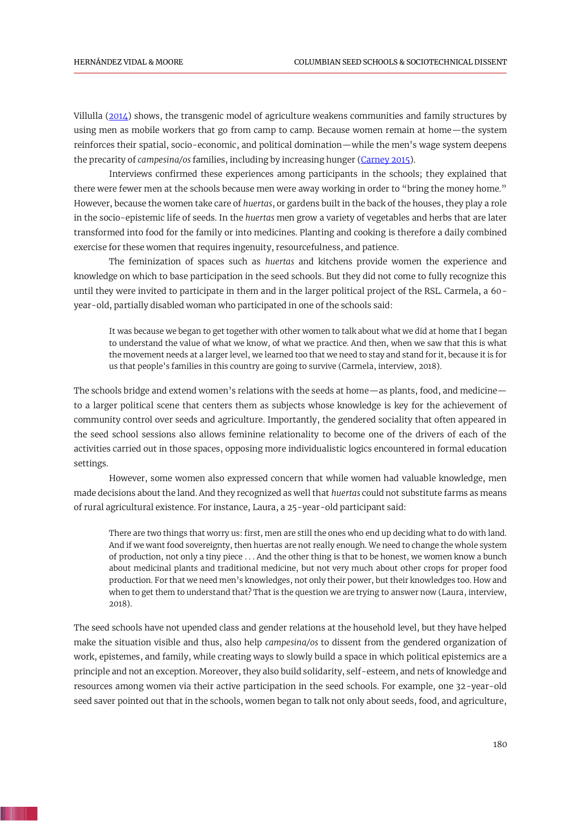<span id="page-9-1"></span>Villulla [\(2014\)](#page-16-9) shows, the transgenic model of agriculture weakens communities and family structures by using men as mobile workers that go from camp to camp. Because women remain at home—the system reinforces their spatial, socio-economic, and political domination—while the men's wage system deepens the precarity of *campesina/os* families, including by increasing hunger [\(Carney 2015\)](#page-12-14).

<span id="page-9-0"></span>Interviews confirmed these experiences among participants in the schools; they explained that there were fewer men at the schools because men were away working in order to "bring the money home." However, because the women take care of *huertas*, or gardens built in the back of the houses, they play a role in the socio-epistemic life of seeds. In the *huertas* men grow a variety of vegetables and herbs that are later transformed into food for the family or into medicines. Planting and cooking is therefore a daily combined exercise for these women that requires ingenuity, resourcefulness, and patience.

The feminization of spaces such as *huertas* and kitchens provide women the experience and knowledge on which to base participation in the seed schools. But they did not come to fully recognize this until they were invited to participate in them and in the larger political project of the RSL. Carmela, a 60 year-old, partially disabled woman who participated in one of the schools said:

It was because we began to get together with other women to talk about what we did at home that I began to understand the value of what we know, of what we practice. And then, when we saw that this is what the movement needs at a larger level, we learned too that we need to stay and stand for it, because it is for us that people's families in this country are going to survive (Carmela, interview, 2018).

The schools bridge and extend women's relations with the seeds at home—as plants, food, and medicine to a larger political scene that centers them as subjects whose knowledge is key for the achievement of community control over seeds and agriculture. Importantly, the gendered sociality that often appeared in the seed school sessions also allows feminine relationality to become one of the drivers of each of the activities carried out in those spaces, opposing more individualistic logics encountered in formal education settings.

However, some women also expressed concern that while women had valuable knowledge, men made decisions about the land. And they recognized as well that *huertas* could not substitute farms as means of rural agricultural existence. For instance, Laura, a 25-year-old participant said:

There are two things that worry us: first, men are still the ones who end up deciding what to do with land. And if we want food sovereignty, then huertas are not really enough. We need to change the whole system of production, not only a tiny piece . . . And the other thing is that to be honest, we women know a bunch about medicinal plants and traditional medicine, but not very much about other crops for proper food production. For that we need men's knowledges, not only their power, but their knowledges too. How and when to get them to understand that? That is the question we are trying to answer now (Laura, interview, 2018).

The seed schools have not upended class and gender relations at the household level, but they have helped make the situation visible and thus, also help *campesina/os* to dissent from the gendered organization of work, epistemes, and family, while creating ways to slowly build a space in which political epistemics are a principle and not an exception. Moreover, they also build solidarity, self-esteem, and nets of knowledge and resources among women via their active participation in the seed schools. For example, one 32-year-old seed saver pointed out that in the schools, women began to talk not only about seeds, food, and agriculture,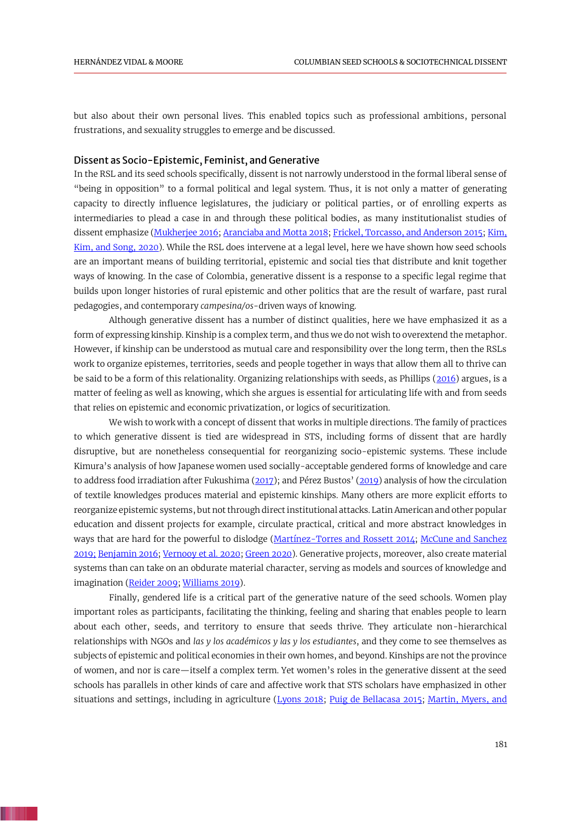but also about their own personal lives. This enabled topics such as professional ambitions, personal frustrations, and sexuality struggles to emerge and be discussed.

#### Dissent as Socio-Epistemic, Feminist, and Generative

In the RSL and its seed schools specifically, dissent is not narrowly understood in the formal liberal sense of "being in opposition" to a formal political and legal system. Thus, it is not only a matter of generating capacity to directly influence legislatures, the judiciary or political parties, or of enrolling experts as intermediaries to plead a case in and through these political bodies, as many institutionalist studies of dissent emphasize [\(Mukherjee 2016;](#page-15-2) [Aranciaba and Motta 2018;](#page-11-0) Frickel, Torcasso, [and Anderson 2015;](#page-13-2) [Kim,](#page-14-0)  Kim, [and Song, 2020\)](#page-14-0). While the RSL does intervene at a legal level, here we have shown how seed schools are an important means of building territorial, epistemic and social ties that distribute and knit together ways of knowing. In the case of Colombia, generative dissent is a response to a specific legal regime that builds upon longer histories of rural epistemic and other politics that are the result of warfare, past rural pedagogies, and contemporary *campesina/os*-driven ways of knowing.

Although generative dissent has a number of distinct qualities, here we have emphasized it as a form of expressing kinship. Kinship is a complex term, and thus we do not wish to overextend the metaphor. However, if kinship can be understood as mutual care and responsibility over the long term, then the RSLs work to organize epistemes, territories, seeds and people together in ways that allow them all to thrive can be said to be a form of this relationality. Organizing relationships with seeds, as Phillips [\(2016\)](#page-15-8) argues, is a matter of feeling as well as knowing, which she argues is essential for articulating life with and from seeds that relies on epistemic and economic privatization, or logics of securitization.

We wish to work with a concept of dissent that works in multiple directions. The family of practices to which generative dissent is tied are widespread in STS, including forms of dissent that are hardly disruptive, but are nonetheless consequential for reorganizing socio-epistemic systems. These include Kimura's analysis of how Japanese women used socially-acceptable gendered forms of knowledge and care to address food irradiation after Fukushima [\(2017\)](#page-14-1); and Pérez Bustos' ([2019\)](#page-15-7) analysis of how the circulation of textile knowledges produces material and epistemic kinships. Many others are more explicit efforts to reorganize epistemic systems, but not through direct institutional attacks. Latin American and other popular education and dissent projects for example, circulate practical, critical and more abstract knowledges in ways that are hard for the powerful to dislodge [\(Martínez-Torres and Rossett 2014;](#page-14-3) [McCune and Sanchez](#page-14-4)  [2019;](#page-14-4) [Benjamin 2016;](#page-12-3) [Vernooy et al. 2020;](#page-16-10) [Green 2020\)](#page-13-4). Generative projects, moreover, also create material systems than can take on an obdurate material character, serving as models and sources of knowledge and imagination [\(Reider 2009;](#page-15-10) [Williams 2019\)](#page-16-4).

<span id="page-10-2"></span><span id="page-10-1"></span><span id="page-10-0"></span>Finally, gendered life is a critical part of the generative nature of the seed schools. Women play important roles as participants, facilitating the thinking, feeling and sharing that enables people to learn about each other, seeds, and territory to ensure that seeds thrive. They articulate non-hierarchical relationships with NGOs and *las y los académicos y las y los estudiantes*, and they come to see themselves as subjects of epistemic and political economies in their own homes, and beyond. Kinships are not the province of women, and nor is care—itself a complex term. Yet women's roles in the generative dissent at the seed schools has parallels in other kinds of care and affective work that STS scholars have emphasized in other situations and settings, including in agriculture [\(Lyons 2018;](#page-14-11) [Puig de Bellacasa](#page-15-15) 2015; [Martin, Myers,](#page-14-16) and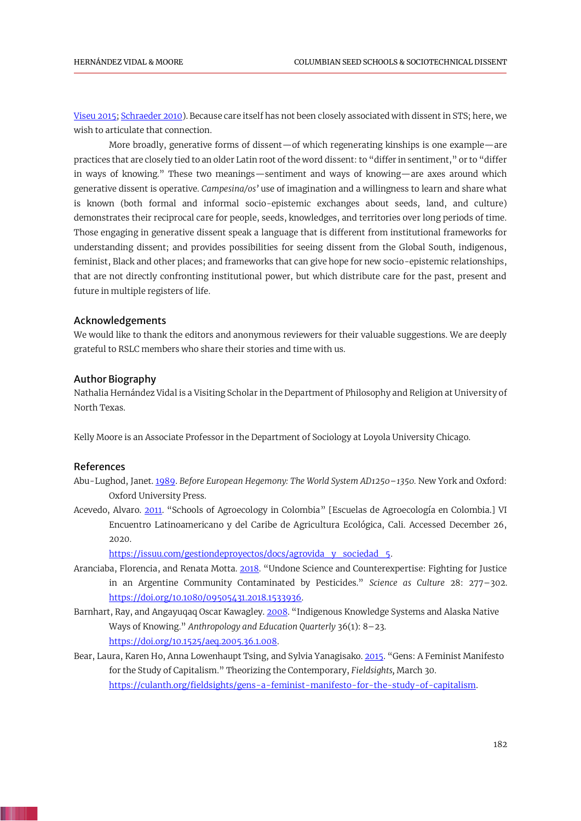<span id="page-11-5"></span>[Viseu 2015;](#page-14-16) [Schraeder 2010\)](#page-16-11). Because care itself has not been closely associated with dissent in STS; here, we wish to articulate that connection.

More broadly, generative forms of dissent—of which regenerating kinships is one example—are practices that are closely tied to an older Latin root of the word dissent: to "differ in sentiment," or to "differ in ways of knowing." These two meanings—sentiment and ways of knowing—are axes around which generative dissent is operative. *Campesina/os'* use of imagination and a willingness to learn and share what is known (both formal and informal socio-epistemic exchanges about seeds, land, and culture) demonstrates their reciprocal care for people, seeds, knowledges, and territories over long periods of time. Those engaging in generative dissent speak a language that is different from institutional frameworks for understanding dissent; and provides possibilities for seeing dissent from the Global South, indigenous, feminist, Black and other places; and frameworks that can give hope for new socio-epistemic relationships, that are not directly confronting institutional power, but which distribute care for the past, present and future in multiple registers of life.

## Acknowledgements

We would like to thank the editors and anonymous reviewers for their valuable suggestions. We are deeply grateful to RSLC members who share their stories and time with us.

#### Author Biography

Nathalia Hernández Vidal is a Visiting Scholar in the Department of Philosophy and Religion at University of North Texas.

Kelly Moore is an Associate Professor in the Department of Sociology at Loyola University Chicago.

# References

- <span id="page-11-1"></span>Abu-Lughod, Janet[. 1989.](#page-1-0) *Before European Hegemony: The World System AD1250–1350.* New York and Oxford: Oxford University Press.
- Acevedo, Alvaro. [2011.](#page-5-0) "Schools of Agroecology in Colombia" [Escuelas de Agroecología en Colombia.] VI Encuentro Latinoamericano y del Caribe de Agricultura Ecológica, Cali. Accessed December 26, 2020.

<span id="page-11-4"></span><span id="page-11-3"></span><span id="page-11-2"></span><span id="page-11-0"></span>[https://issuu.com/gestiondeproyectos/docs/agrovida\\_y\\_sociedad\\_5.](https://issuu.com/gestiondeproyectos/docs/agrovida_y_sociedad_5)

- Aranciaba, Florencia, and Renata Motta. [2018](#page-1-1). "Undone Science and Counterexpertise: Fighting for Justice in an Argentine Community Contaminated by Pesticides." *Science as Culture* 28: 277–302. [https://doi.org/10.1080/09505431.2018.1533936.](https://doi.org/10.1080/09505431.2018.1533936)
- Barnhart, Ray, and Angayuqaq Oscar Kawagley[. 2008](#page-2-0). "Indigenous Knowledge Systems and Alaska Native Ways of Knowing." *Anthropology and Education Quarterly* 36(1): 8–23. [https://doi.org/10.1525/aeq.2005.36.1.008.](https://doi.org/10.1525/aeq.2005.36.1.008)
- Bear, Laura, Karen Ho, Anna Lowenhaupt Tsing, and Sylvia Yanagisako. [2015](#page-2-1). "Gens: A Feminist Manifesto for the Study of Capitalism." Theorizing the Contemporary, *Fieldsights,* March 30. [https://culanth.org/fieldsights/gens-a-feminist-manifesto-for-the-study-of-capitalism.](https://culanth.org/fieldsights/gens-a-feminist-manifesto-for-the-study-of-capitalism)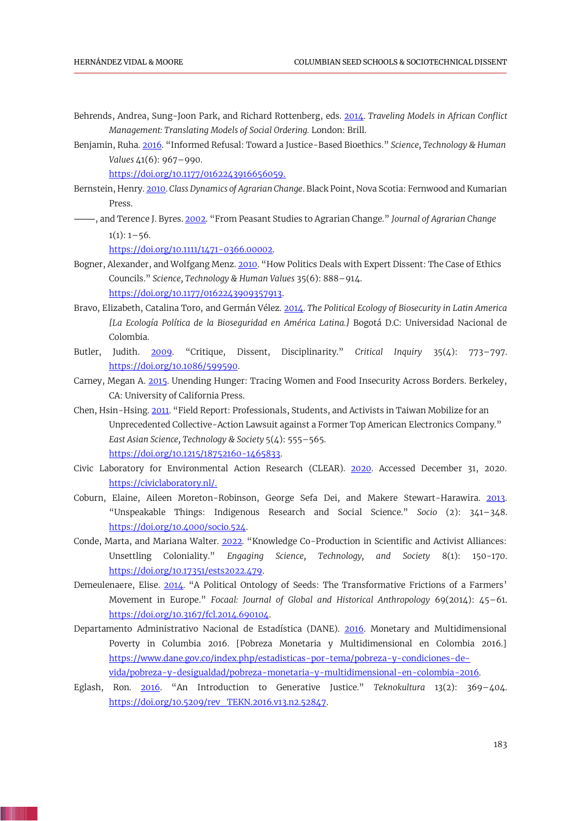- Behrends, Andrea, Sung-Joon Park, and Richard Rottenberg, eds[. 2014.](#page-6-0) *Traveling Models in African Conflict Management: Translating Models of Social Ordering.* London: Brill.
- Benjamin, Ruha. [2016](#page-1-2). "Informed Refusal: Toward a Justice-Based Bioethics." *Science, Technology & Human Values* 41(6): 967–990.

<span id="page-12-12"></span><span id="page-12-11"></span><span id="page-12-3"></span>[https://doi.org/10.1177/0162243916656059.](https://doi.org/10.1177/0162243916656059)

- Bernstein, Henry[. 2010.](#page-8-0) *Class Dynamics of Agrarian Change*. Black Point, Nova Scotia: Fernwood and Kumarian Press.
- ⸻, and Terence J. Byres. [2002](#page-8-1). "From Peasant Studies to Agrarian Change." *Journal of Agrarian Change*  $1(1): 1-56.$

<span id="page-12-13"></span><span id="page-12-9"></span><span id="page-12-1"></span>[https://doi.org/10.1111/1471-0366.00002.](https://doi.org/10.1111/1471-0366.00002)

- Bogner, Alexander, and Wolfgang Menz[. 2010](#page-1-3). "How Politics Deals with Expert Dissent: The Case of Ethics Councils." *Science, Technology & Human Values* 35(6): 888–914. [https://doi.org/10.1177/0162243909357913.](https://doi.org/10.1177/0162243909357913)
- Bravo, Elizabeth, Catalina Toro, and Germán Vélez. [2014.](#page-5-1) *The Political Ecology of Biosecurity in Latin America [La Ecología Política de la Bioseguridad en América Latina.]* Bogotá D.C: Universidad Nacional de Colombia.
- <span id="page-12-2"></span>Butler, Judith. [2009](#page-1-4). "Critique, Dissent, Disciplinarity." *Critical Inquiry* 35(4): 773–797. [https://doi.org/10.1086/599590.](https://doi.org/10.1086/599590)
- <span id="page-12-14"></span>Carney, Megan A. [2015.](#page-9-0) Unending Hunger: Tracing Women and Food Insecurity Across Borders. Berkeley, CA: University of California Press.
- <span id="page-12-0"></span>Chen, Hsin-Hsing[. 2011](#page-1-5). "Field Report: Professionals, Students, and Activists in Taiwan Mobilize for an Unprecedented Collective-Action Lawsuit against a Former Top American Electronics Company." *East Asian Science, Technology & Society* 5(4): 555–565. [https://doi.org/10.1215/18752160-1465833.](https://doi.org/10.1215/18752160-1465833)
- <span id="page-12-5"></span>Civic Laboratory for Environmental Action Research (CLEAR). [2020.](#page-2-2) Accessed December 31, 2020. [https://civiclaboratory.nl/.](https://civiclaboratory.nl/)
- <span id="page-12-4"></span>Coburn, Elaine, Aileen Moreton-Robinson, George Sefa Dei, and Makere Stewart-Harawira. [2013.](#page-1-6)  "Unspeakable Things: Indigenous Research and Social Science." *Socio* (2): 341–348. [https://doi.org/10.4000/socio.524.](https://doi.org/10.4000/socio.524)
- <span id="page-12-10"></span>Conde, Marta, and Mariana Walter. [2022](#page-6-1). "Knowledge Co-Production in Scientific and Activist Alliances: Unsettling Coloniality." *Engaging Science, Technology, and Society* 8(1): 150-170. [https://doi.org/10.17351/ests2022.479.](https://doi.org/10.17351/ests2022.479)
- <span id="page-12-8"></span>Demeulenaere, Elise. [2014](#page-4-0). "A Political Ontology of Seeds: The Transformative Frictions of a Farmers' Movement in Europe." *Focaal: Journal of Global and Historical Anthropology* 69(2014): 45–61. [https://doi.org/10.3167/fcl.2014.690104.](https://doi.org/10.3167/fcl.2014.690104)
- <span id="page-12-7"></span>Departamento Administrativo Nacional de Estadística (DANE). [2016.](#page-4-1) Monetary and Multidimensional Poverty in Columbia 2016. [Pobreza Monetaria y Multidimensional en Colombia 2016.] [https://www.dane.gov.co/index.php/estadisticas-por-tema/pobreza-y-condiciones-de](https://www.dane.gov.co/index.php/estadisticas-por-tema/pobreza-y-condiciones-de-vida/pobreza-y-desigualdad/pobreza-monetaria-y-multidimensional-en-colombia-2016)[vida/pobreza-y-desigualdad/pobreza-monetaria-y-multidimensional-en-colombia-2016.](https://www.dane.gov.co/index.php/estadisticas-por-tema/pobreza-y-condiciones-de-vida/pobreza-y-desigualdad/pobreza-monetaria-y-multidimensional-en-colombia-2016)
- <span id="page-12-6"></span>Eglash, Ron. [2016](#page-2-3). "An Introduction to Generative Justice." *Teknokultura* 13(2): 369–404. [https://doi.org/10.5209/rev\\_TEKN.2016.v13.n2.52847.](https://doi.org/10.5209/rev_TEKN.2016.v13.n2.52847)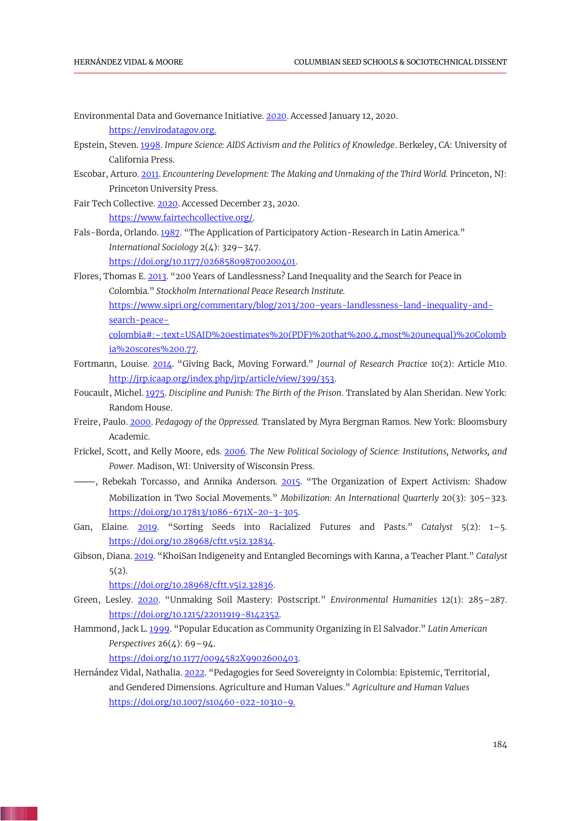- <span id="page-13-5"></span>Environmental Data and Governance Initiative. [2020.](#page-2-4) Accessed January 12, 2020. [https://envirodatagov.org.](https://envirodatagov.org/)
- <span id="page-13-0"></span>Epstein, Steven[. 1998.](#page-1-7) *Impure Science: AIDS Activism and the Politics of Knowledge*. Berkeley, CA: University of California Press.
- <span id="page-13-10"></span>Escobar, Arturo. [2011.](#page-5-2) *Encountering Development: The Making and Unmaking of the Third World.* Princeton, NJ: Princeton University Press.
- <span id="page-13-6"></span>Fair Tech Collective. [2020.](#page-2-5) Accessed December 23, 2020. [https://www.fairtechcollective.org/.](https://www.fairtechcollective.org/)

<span id="page-13-15"></span><span id="page-13-3"></span>[ia%20scores%200.77.](https://www.sipri.org/commentary/blog/2013/200-years-landlessness-land-inequality-and-search-peace-colombia#:~:text=USAID%20estimates%20(PDF)%20that%200.4,most%20unequal)%20Colombia%20scores%200.77)

- <span id="page-13-12"></span>Fals-Borda, Orlando. [1987](#page-5-3). "The Application of Participatory Action-Research in Latin America." *International Sociology* 2(4): 329–347. [https://doi.org/10.1177/026858098700200401.](https://doi.org/10.1177/026858098700200401)
- <span id="page-13-8"></span>Flores, Thomas E[. 2013](#page-4-2). "200 Years of Landlessness? Land Inequality and the Search for Peace in Colombia." *Stockholm International Peace Research Institute.*  [https://www.sipri.org/commentary/blog/2013/200-years-landlessness-land-inequality-and](https://www.sipri.org/commentary/blog/2013/200-years-landlessness-land-inequality-and-search-peace-colombia#:~:text=USAID%20estimates%20(PDF)%20that%200.4,most%20unequal)%20Colombia%20scores%200.77)[search-peace](https://www.sipri.org/commentary/blog/2013/200-years-landlessness-land-inequality-and-search-peace-colombia#:~:text=USAID%20estimates%20(PDF)%20that%200.4,most%20unequal)%20Colombia%20scores%200.77)[colombia#:~:text=USAID%20estimates%20\(PDF\)%20that%200.4,most%20unequal\)%20Colomb](https://www.sipri.org/commentary/blog/2013/200-years-landlessness-land-inequality-and-search-peace-colombia#:~:text=USAID%20estimates%20(PDF)%20that%200.4,most%20unequal)%20Colombia%20scores%200.77)
- Fortmann, Louise. [2014](#page-8-2). "Giving Back, Moving Forward." *Journal of Research Practice* 10(2): Article M10. [http://jrp.icaap.org/index.php/jrp/article/view/399/353.](http://jrp.icaap.org/index.php/jrp/article/view/399/353)
- Foucault, Michel[. 1975.](#page-1-8) *Discipline and Punish: The Birth of the Prison*. Translated by Alan Sheridan. New York: Random House.
- <span id="page-13-11"></span>Freire, Paulo[. 2000.](#page-5-4) *Pedagogy of the Oppressed.* Translated by Myra Bergman Ramos. New York: Bloomsbury Academic.
- <span id="page-13-1"></span>Frickel, Scott, and Kelly Moore, eds. [2006.](#page-1-9) *The New Political Sociology of Science: Institutions, Networks, and Power.* Madison, WI: University of Wisconsin Press.
- $-$ , Rebekah Torcasso, and Annika Anderson. [2015](#page-1-10). "The Organization of Expert Activism: Shadow Mobilization in Two Social Movements." *Mobilization: An International Quarterly* 20(3): 305–323. [https://doi.org/10.17813/1086-671X-20-3-305.](https://doi.org/10.17813/1086-671X-20-3-305)
- <span id="page-13-9"></span>Gan, Elaine. [2019](#page-5-5). "Sorting Seeds into Racialized Futures and Pasts." *Catalyst* 5(2): 1–5. [https://doi.org/10.28968/cftt.v5i2.32834.](https://doi.org/10.28968/cftt.v5i2.32834)
- Gibson, Diana[. 2019](#page-2-6). "KhoiSan Indigeneity and Entangled Becomings with Kanna, a Teacher Plant." *Catalyst*  5(2).

<span id="page-13-7"></span><span id="page-13-4"></span><span id="page-13-2"></span>[https://doi.org/10.28968/cftt.v5i2.32836.](https://doi.org/10.28968/cftt.v5i2.32836)

- Green, Lesley. [2020](#page-1-11). "Unmaking Soil Mastery: Postscript." *Environmental Humanities* 12(1): 285–287. [https://doi.org/10.1215/22011919-8142352.](https://doi.org/10.1215/22011919-8142352)
- Hammond, Jack L. [1999](#page-5-6). "Popular Education as Community Organizing in El Salvador." *Latin American Perspectives* 26(4): 69–94.

<span id="page-13-14"></span><span id="page-13-13"></span>[https://doi.org/10.1177/0094582X9902600403.](https://doi.org/10.1177/0094582X9902600403)

. .

Hernández Vidal, Nathalia[. 2022.](#page-7-0) "Pedagogies for Seed Sovereignty in Colombia: Epistemic, Territorial, and Gendered Dimensions. Agriculture and Human Values." *Agriculture and Human Values* <https://doi.org/10.1007/s10460-022-10310-9.>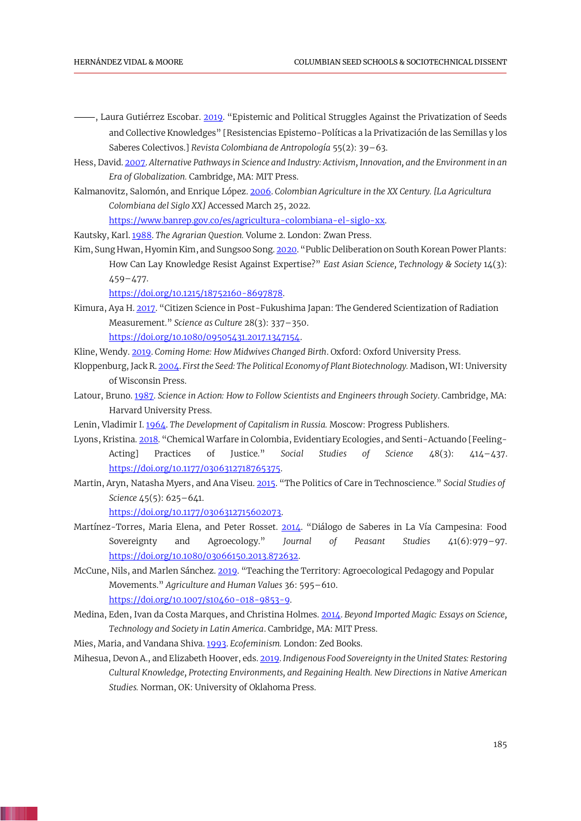- <span id="page-14-8"></span>⸻, Laura Gutiérrez Escobar[. 2019.](#page-4-3) "Epistemic and Political Struggles Against the Privatization of Seeds and Collective Knowledges" [Resistencias Epistemo-Políticas a la Privatización de las Semillas y los Saberes Colectivos.] *Revista Colombiana de Antropología* 55(2): 39–63.
- <span id="page-14-2"></span>Hess, David[. 2007.](#page-2-7) *Alternative Pathways in Science and Industry: Activism, Innovation, and the Environment in an Era of Globalization.* Cambridge, MA: MIT Press.
- Kalmanovitz, Salomón, and Enrique López[. 2006.](#page-5-7) *Colombian Agriculture in the XX Century. [La Agricultura Colombiana del Siglo XX]* Accessed March 25, 2022.

<span id="page-14-15"></span><span id="page-14-10"></span>[https://www.banrep.gov.co/es/agricultura-colombiana-el-siglo-xx.](https://www.banrep.gov.co/es/agricultura-colombiana-el-siglo-xx)

- Kautsky, Karl[. 1988.](#page-8-3) *The Agrarian Question.* Volume 2. London: Zwan Press.
- Kim, Sung Hwan, Hyomin Kim, and Sungsoo Song[. 2020](#page-1-12). "Public Deliberation on South Korean Power Plants: How Can Lay Knowledge Resist Against Expertise?" *East Asian Science, Technology & Society* 14(3): 459–477.

<span id="page-14-1"></span><span id="page-14-0"></span>[https://doi.org/10.1215/18752160-8697878.](https://doi.org/10.1215/18752160-8697878)

Kimura, Aya H[. 2017](#page-1-13). "Citizen Science in Post-Fukushima Japan: The Gendered Scientization of Radiation Measurement." *Science as Culture* 28(3): 337–350. [https://doi.org/10.1080/09505431.2017.1347154.](https://doi.org/10.1080/09505431.2017.1347154)

<span id="page-14-5"></span>Kline, Wendy[. 2019.](#page-2-8) *Coming Home: How Midwives Changed Birth*. Oxford: Oxford University Press.

- <span id="page-14-9"></span>Kloppenburg, Jack R. [2004.](#page-4-4) *First the Seed: The Political Economy of Plant Biotechnology.* Madison, WI: University of Wisconsin Press.
- <span id="page-14-12"></span>Latour, Bruno. [1987.](#page-8-4) *Science in Action: How to Follow Scientists and Engineers through Society*. Cambridge, MA: Harvard University Press.
- <span id="page-14-14"></span>Lenin, Vladimir I. [1964.](#page-8-5) *The Development of Capitalism in Russia.* Moscow: Progress Publishers.
- <span id="page-14-11"></span>Lyons, Kristina[. 2018](#page-5-8). "Chemical Warfare in Colombia, Evidentiary Ecologies, and Senti-Actuando [Feeling-Acting] Practices of Justice." *Social Studies of Science* 48(3): 414–437. [https://doi.org/10.1177/0306312718765375.](https://doi.org/10.1177/0306312718765375)
- Martin, Aryn, Natasha Myers, and Ana Viseu[. 2015](#page-10-0). "The Politics of Care in Technoscience." *Social Studies of Science* 45(5): 625–641.

<span id="page-14-16"></span><span id="page-14-6"></span><span id="page-14-4"></span><span id="page-14-3"></span>[https://doi.org/10.1177/0306312715602073.](https://doi.org/10.1177/0306312715602073)

- Martínez-Torres, Maria Elena, and Peter Rosset. [2014](#page-2-9). "Diálogo de Saberes in La Vía Campesina: Food Sovereignty and Agroecology." *Journal of Peasant Studies* 41(6):979–97. [https://doi.org/10.1080/03066150.2013.872632.](https://doi.org/10.1080/03066150.2013.872632)
- McCune, Nils, and Marlen Sánchez[. 2019](#page-2-10). "Teaching the Territory: Agroecological Pedagogy and Popular Movements." *Agriculture and Human Values* 36: 595–610. [https://doi.org/10.1007/s10460-018-9853-9.](https://doi.org/10.1007/s10460-018-9853-9)
- Medina, Eden, Ivan da Costa Marques, and Christina Holmes[. 2014.](#page-2-11) *Beyond Imported Magic: Essays on Science, Technology and Society in Latin America*. Cambridge, MA: MIT Press.

<span id="page-14-13"></span>Mies, Maria, and Vandana Shiva. [1993.](#page-8-6) *Ecofeminism.* London: Zed Books.

<span id="page-14-7"></span>Mihesua, Devon A., and Elizabeth Hoover, eds[. 2019.](#page-4-5) *Indigenous Food Sovereignty in the United States: Restoring Cultural Knowledge, Protecting Environments, and Regaining Health. New Directions in Native American Studies.* Norman, OK: University of Oklahoma Press.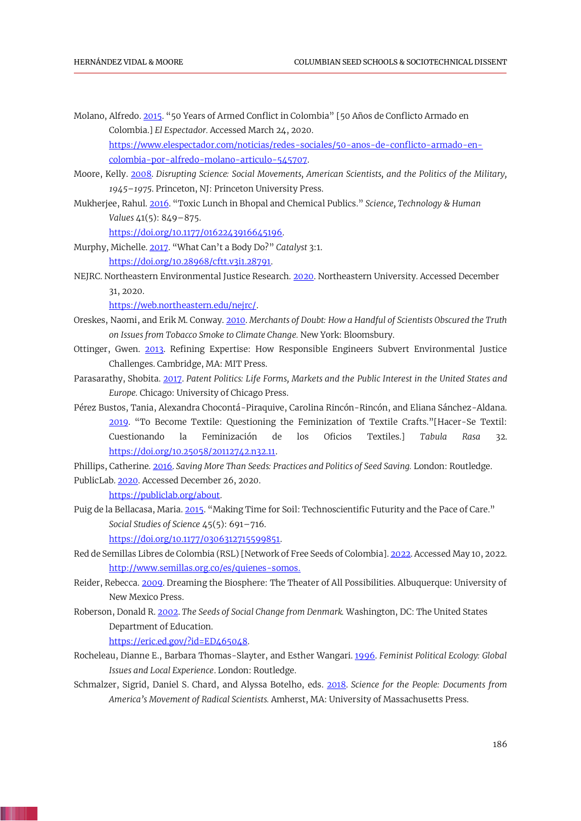Molano, Alfredo. [2015.](#page-4-6) "50 Years of Armed Conflict in Colombia" [50 Años de Conflicto Armado en Colombia.] *El Espectador.* Accessed March 24, 2020.

<span id="page-15-3"></span>[https://www.elespectador.com/noticias/redes-sociales/50-anos-de-conflicto-armado-en](https://www.elespectador.com/noticias/redes-sociales/50-anos-de-conflicto-armado-en-colombia-por-alfredo-molano-articulo-545707)[colombia-por-alfredo-molano-articulo-545707.](https://www.elespectador.com/noticias/redes-sociales/50-anos-de-conflicto-armado-en-colombia-por-alfredo-molano-articulo-545707)

- Moore, Kelly. [2008.](#page-1-14) *Disrupting Science: Social Movements, American Scientists, and the Politics of the Military, 1945–1975*. Princeton, NJ: Princeton University Press.
- Mukherjee, Rahul[. 2016](#page-1-15). "Toxic Lunch in Bhopal and Chemical Publics." *Science, Technology & Human Values* 41(5): 849–875.

<span id="page-15-11"></span><span id="page-15-2"></span>[https://doi.org/10.1177/0162243916645196.](https://doi.org/10.1177/0162243916645196)

- Murphy, Michelle[. 2017](#page-2-12). "What Can't a Body Do?" *Catalyst* 3:1. [https://doi.org/10.28968/cftt.v3i1.28791.](https://doi.org/10.28968/cftt.v3i1.28791)
- NEJRC. Northeastern Environmental Justice Research[. 2020.](#page-7-1) Northeastern University. Accessed December 31, 2020.

<span id="page-15-13"></span><span id="page-15-4"></span><span id="page-15-1"></span>[https://web.northeastern.edu/nejrc/.](https://web.northeastern.edu/nejrc/)

- Oreskes, Naomi, and Erik M. Conway. [2010.](#page-1-16) *Merchants of Doubt: How a Handful of Scientists Obscured the Truth on Issues from Tobacco Smoke to Climate Change.* New York: Bloomsbury.
- Ottinger, Gwen. [2013.](#page-1-17) Refining Expertise: How Responsible Engineers Subvert Environmental Justice Challenges. Cambridge, MA: MIT Press.
- <span id="page-15-5"></span>Parasarathy, Shobita. [2017.](#page-1-18) *Patent Politics: Life Forms, Markets and the Public Interest in the United States and Europe.* Chicago: University of Chicago Press.
- <span id="page-15-7"></span>Pérez Bustos, Tania, Alexandra Chocontá-Piraquive, Carolina Rincón-Rincón, and Eliana Sánchez-Aldana. [2019.](#page-1-19) "To Become Textile: Questioning the Feminization of Textile Crafts."[Hacer-Se Textil: Cuestionando la Feminización de los Oficios Textiles.] *Tabula Rasa* 32. [https://doi.org/10.25058/20112742.n32.11.](https://doi.org/10.25058/20112742.n32.11)

Phillips, Catherine. [2016.](#page-2-13) *Saving More Than Seeds: Practices and Politics of Seed Saving.* London: Routledge. PublicLab. [2020.](#page-2-14) Accessed December 26, 2020.

<span id="page-15-15"></span><span id="page-15-9"></span><span id="page-15-8"></span>[https://publiclab.org/about.](https://publiclab.org/about)

Puig de la Bellacasa, Maria[. 2015](#page-10-1). "Making Time for Soil: Technoscientific Futurity and the Pace of Care." *Social Studies of Science* 45(5): 691–716.

<span id="page-15-10"></span><span id="page-15-0"></span>[https://doi.org/10.1177/0306312715599851.](https://doi.org/10.1177/0306312715599851)

- Red de Semillas Libres de Colombia (RSL) [Network of Free Seeds of Colombia]. [2022.](#page-0-0) Accessed May 10, 2022. [http://www.semillas.org.co/es/quienes-somos.](http://www.semillas.org.co/es/quienes-somos)
- Reider, Rebecca[. 2009.](#page-2-15) Dreaming the Biosphere: The Theater of All Possibilities. Albuquerque: University of New Mexico Press.
- Roberson, Donald R[. 2002.](#page-5-9) *The Seeds of Social Change from Denmark.* Washington, DC: The United States Department of Education.

<span id="page-15-14"></span><span id="page-15-12"></span><span id="page-15-6"></span>[https://eric.ed.gov/?id=ED465048.](https://eric.ed.gov/?id=ED465048)

- Rocheleau, Dianne E., Barbara Thomas-Slayter, and Esther Wangari. [1996.](#page-8-7) *Feminist Political Ecology: Global Issues and Local Experience*. London: Routledge.
- Schmalzer, Sigrid, Daniel S. Chard, and Alyssa Botelho, eds. [2018.](#page-1-20) *Science for the People: Documents from America's Movement of Radical Scientists.* Amherst, MA: University of Massachusetts Press.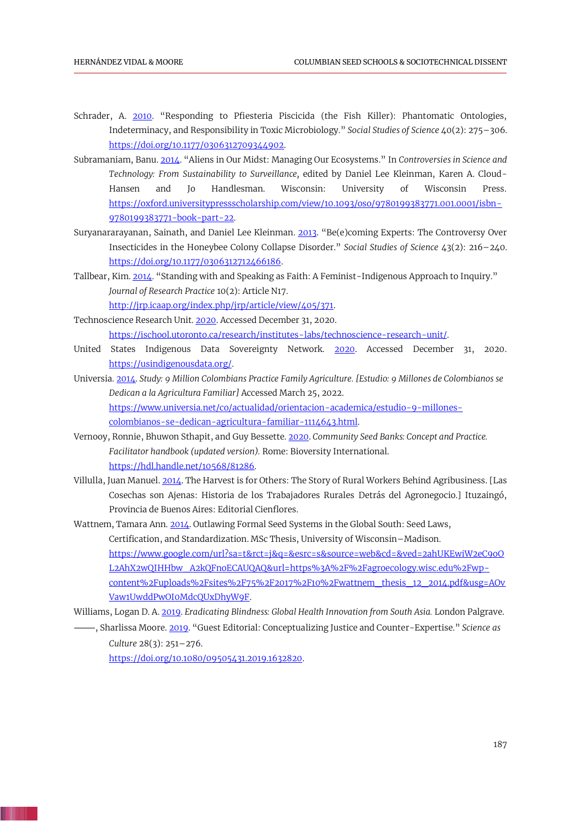- <span id="page-16-11"></span>Schrader, A. [2010](#page-11-5). "Responding to Pfiesteria Piscicida (the Fish Killer): Phantomatic Ontologies, Indeterminacy, and Responsibility in Toxic Microbiology." *Social Studies of Science* 40(2): 275–306. [https://doi.org/10.1177/0306312709344902.](https://doi.org/10.1177/0306312709344902)
- <span id="page-16-7"></span>Subramaniam, Banu[. 2014](#page-5-10). "Aliens in Our Midst: Managing Our Ecosystems." In *Controversies in Science and Technology: From Sustainability to Surveillance,* edited by Daniel Lee Kleinman, Karen A. Cloud-Hansen and Jo Handlesman. Wisconsin: University of Wisconsin Press. [https://oxford.universitypressscholarship.com/view/10.1093/oso/9780199383771.001.0001/isbn-](https://oxford.universitypressscholarship.com/view/10.1093/oso/9780199383771.001.0001/isbn-9780199383771-book-part-22)[9780199383771-book-part-22.](https://oxford.universitypressscholarship.com/view/10.1093/oso/9780199383771.001.0001/isbn-9780199383771-book-part-22)
- Suryanararayanan, Sainath, and Daniel Lee Kleinman. [2013](#page-1-21). "Be(e)coming Experts: The Controversy Over Insecticides in the Honeybee Colony Collapse Disorder." *Social Studies of Science* 43(2): 216–240. [https://doi.org/10.1177/0306312712466186.](https://doi.org/10.1177/0306312712466186)
- Tallbear, Kim[. 2014](#page-2-16). "Standing with and Speaking as Faith: A Feminist-Indigenous Approach to Inquiry." *Journal of Research Practice* 10(2): Article N17.

<span id="page-16-8"></span><span id="page-16-5"></span><span id="page-16-2"></span><span id="page-16-1"></span>[http://jrp.icaap.org/index.php/jrp/article/view/405/371.](http://jrp.icaap.org/index.php/jrp/article/view/405/371)

- Technoscience Research Unit. [2020.](#page-7-2) Accessed December 31, 2020. [https://ischool.utoronto.ca/research/institutes-labs/technoscience-research-unit/.](https://ischool.utoronto.ca/research/institutes-labs/technoscience-research-unit/)
- United States Indigenous Data Sovereignty Network. [2020.](#page-2-17) Accessed December 31, 2020. [https://usindigenousdata.org/.](https://usindigenousdata.org/)
- <span id="page-16-6"></span>Universia[. 2014.](#page-4-7) *Study: 9 Million Colombians Practice Family Agriculture. [Estudio: 9 Millones de Colombianos se Dedican a la Agricultura Familiar]* Accessed March 25, 2022. [https://www.universia.net/co/actualidad/orientacion-academica/estudio-9-millones](https://www.universia.net/co/actualidad/orientacion-academica/estudio-9-millones-colombianos-se-dedican-agricultura-familiar-1114643.html)[colombianos-se-dedican-agricultura-familiar-1114643.html.](https://www.universia.net/co/actualidad/orientacion-academica/estudio-9-millones-colombianos-se-dedican-agricultura-familiar-1114643.html)
- <span id="page-16-10"></span>Vernooy, Ronnie, Bhuwon Sthapit, and Guy Bessette. [2020.](#page-10-2) *Community Seed Banks: Concept and Practice. Facilitator handbook (updated version).* Rome: Bioversity International. [https://hdl.handle.net/10568/81286.](https://hdl.handle.net/10568/81286)
- <span id="page-16-9"></span>Villulla, Juan Manuel[. 2014.](#page-9-1) The Harvest is for Others: The Story of Rural Workers Behind Agribusiness. [Las Cosechas son Ajenas: Historia de los Trabajadores Rurales Detrás del Agronegocio.] Ituzaingó, Provincia de Buenos Aires: Editorial Cienflores.
- <span id="page-16-0"></span>Wattnem, Tamara Ann[. 2014.](#page-1-22) Outlawing Formal Seed Systems in the Global South: Seed Laws, Certification, and Standardization. MSc Thesis, University of Wisconsin–Madison. [https://www.google.com/url?sa=t&rct=j&q=&esrc=s&source=web&cd=&ved=2ahUKEwiW2eC9oO](https://www.google.com/url?sa=t&rct=j&q=&esrc=s&source=web&cd=&ved=2ahUKEwiW2eC9oOL2AhX2wQIHHbw_A2kQFnoECAUQAQ&url=https%3A%2F%2Fagroecology.wisc.edu%2Fwp-content%2Fuploads%2Fsites%2F75%2F2017%2F10%2Fwattnem_thesis_12_2014.pdf&usg=AOvVaw1UwddPwOI0MdcQUxDhyW9F) [L2AhX2wQIHHbw\\_A2kQFnoECAUQAQ&url=https%3A%2F%2Fagroecology.wisc.edu%2Fwp](https://www.google.com/url?sa=t&rct=j&q=&esrc=s&source=web&cd=&ved=2ahUKEwiW2eC9oOL2AhX2wQIHHbw_A2kQFnoECAUQAQ&url=https%3A%2F%2Fagroecology.wisc.edu%2Fwp-content%2Fuploads%2Fsites%2F75%2F2017%2F10%2Fwattnem_thesis_12_2014.pdf&usg=AOvVaw1UwddPwOI0MdcQUxDhyW9F)[content%2Fuploads%2Fsites%2F75%2F2017%2F10%2Fwattnem\\_thesis\\_12\\_2014.pdf&usg=AOv](https://www.google.com/url?sa=t&rct=j&q=&esrc=s&source=web&cd=&ved=2ahUKEwiW2eC9oOL2AhX2wQIHHbw_A2kQFnoECAUQAQ&url=https%3A%2F%2Fagroecology.wisc.edu%2Fwp-content%2Fuploads%2Fsites%2F75%2F2017%2F10%2Fwattnem_thesis_12_2014.pdf&usg=AOvVaw1UwddPwOI0MdcQUxDhyW9F) [Vaw1UwddPwOI0MdcQUxDhyW9F.](https://www.google.com/url?sa=t&rct=j&q=&esrc=s&source=web&cd=&ved=2ahUKEwiW2eC9oOL2AhX2wQIHHbw_A2kQFnoECAUQAQ&url=https%3A%2F%2Fagroecology.wisc.edu%2Fwp-content%2Fuploads%2Fsites%2F75%2F2017%2F10%2Fwattnem_thesis_12_2014.pdf&usg=AOvVaw1UwddPwOI0MdcQUxDhyW9F)
- Williams, Logan D. A[. 2019.](#page-2-18) *Eradicating Blindness: Global Health Innovation from South Asia.* London Palgrave.
- ⸻, Sharlissa Moore[. 2019](#page-2-19). "Guest Editorial: Conceptualizing Justice and Counter-Expertise." *Science as Culture* 28(3): 251–276.

<span id="page-16-4"></span><span id="page-16-3"></span>[https://doi.org/10.1080/09505431.2019.1632820.](https://doi.org/10.1080/09505431.2019.1632820)